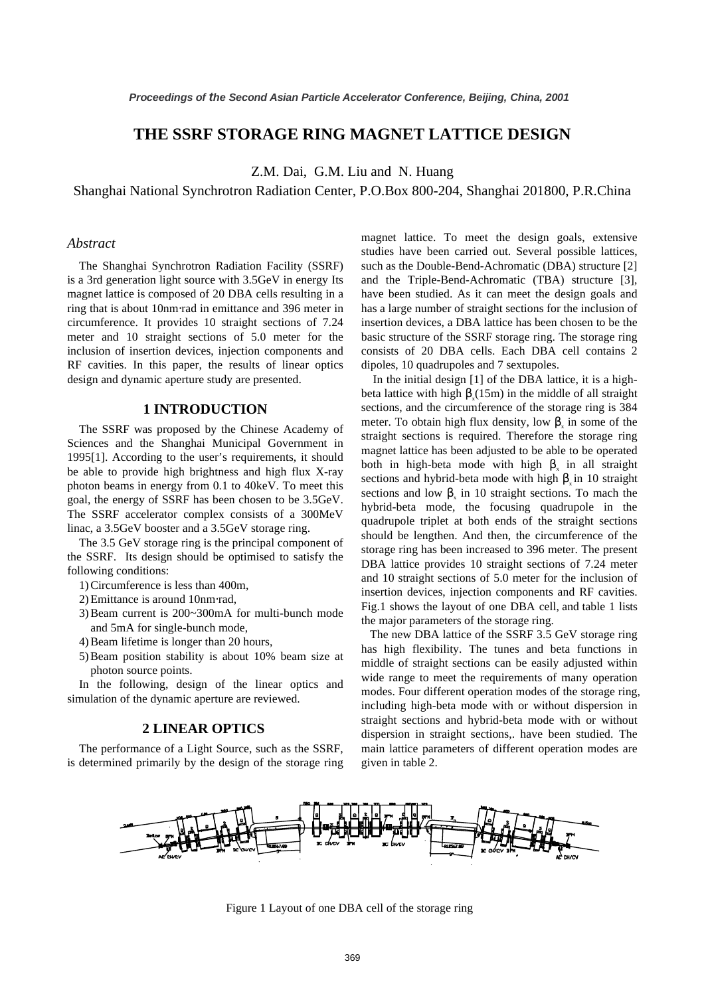# **THE SSRF STORAGE RING MAGNET LATTICE DESIGN**

Z.M. Dai, G.M. Liu and N. Huang

#### Shanghai National Synchrotron Radiation Center, P.O.Box 800-204, Shanghai 201800, P.R.China

# *Abstract*

The Shanghai Synchrotron Radiation Facility (SSRF) is a 3rd generation light source with 3.5GeV in energy Its magnet lattice is composed of 20 DBA cells resulting in a ring that is about 10nm⋅rad in emittance and 396 meter in circumference. It provides 10 straight sections of 7.24 meter and 10 straight sections of 5.0 meter for the inclusion of insertion devices, injection components and RF cavities. In this paper, the results of linear optics design and dynamic aperture study are presented.

# **1 INTRODUCTION**

The SSRF was proposed by the Chinese Academy of Sciences and the Shanghai Municipal Government in 1995[1]. According to the user's requirements, it should be able to provide high brightness and high flux X-ray photon beams in energy from 0.1 to 40keV. To meet this goal, the energy of SSRF has been chosen to be 3.5GeV. The SSRF accelerator complex consists of a 300MeV linac, a 3.5GeV booster and a 3.5GeV storage ring.

The 3.5 GeV storage ring is the principal component of the SSRF. Its design should be optimised to satisfy the following conditions:

- 1) Circumference is less than 400m,
- 2) Emittance is around 10nm⋅rad,
- 3) Beam current is 200~300mA for multi-bunch mode and 5mA for single-bunch mode,
- 4) Beam lifetime is longer than 20 hours,
- 5) Beam position stability is about 10% beam size at photon source points.

In the following, design of the linear optics and simulation of the dynamic aperture are reviewed.

# **2 LINEAR OPTICS**

The performance of a Light Source, such as the SSRF, is determined primarily by the design of the storage ring magnet lattice. To meet the design goals, extensive studies have been carried out. Several possible lattices, such as the Double-Bend-Achromatic (DBA) structure [2] and the Triple-Bend-Achromatic (TBA) structure [3], have been studied. As it can meet the design goals and has a large number of straight sections for the inclusion of insertion devices, a DBA lattice has been chosen to be the basic structure of the SSRF storage ring. The storage ring consists of 20 DBA cells. Each DBA cell contains 2 dipoles, 10 quadrupoles and 7 sextupoles.

In the initial design [1] of the DBA lattice, it is a highbeta lattice with high  $\beta_x(15m)$  in the middle of all straight sections, and the circumference of the storage ring is 384 meter. To obtain high flux density, low  $\beta_x$  in some of the straight sections is required. Therefore the storage ring magnet lattice has been adjusted to be able to be operated both in high-beta mode with high  $\beta_x$  in all straight sections and hybrid-beta mode with high  $\beta$  in 10 straight sections and low  $\beta_x$  in 10 straight sections. To mach the hybrid-beta mode, the focusing quadrupole in the quadrupole triplet at both ends of the straight sections should be lengthen. And then, the circumference of the storage ring has been increased to 396 meter. The present DBA lattice provides 10 straight sections of 7.24 meter and 10 straight sections of 5.0 meter for the inclusion of insertion devices, injection components and RF cavities. Fig.1 shows the layout of one DBA cell, and table 1 lists the major parameters of the storage ring.

The new DBA lattice of the SSRF 3.5 GeV storage ring has high flexibility. The tunes and beta functions in middle of straight sections can be easily adjusted within wide range to meet the requirements of many operation modes. Four different operation modes of the storage ring, including high-beta mode with or without dispersion in straight sections and hybrid-beta mode with or without dispersion in straight sections,. have been studied. The main lattice parameters of different operation modes are given in table 2.



Figure 1 Layout of one DBA cell of the storage ring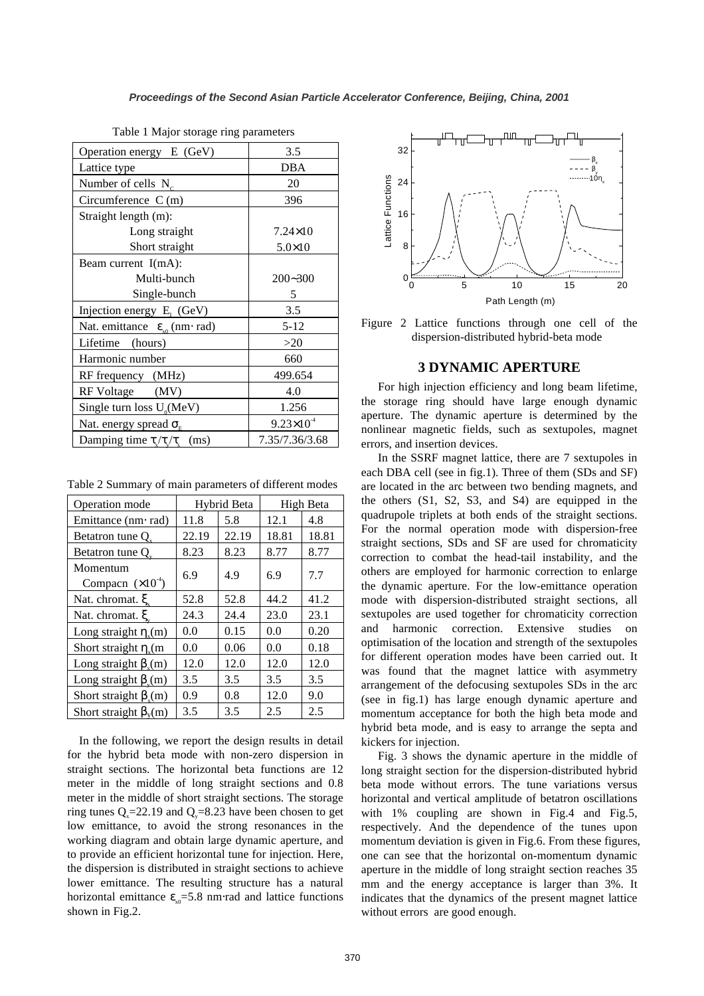| Operation energy E (GeV)                         | 3.5                   |  |  |
|--------------------------------------------------|-----------------------|--|--|
| Lattice type                                     | <b>DBA</b>            |  |  |
| Number of cells $N_c$                            | 20                    |  |  |
| Circumference $C(m)$                             | 396                   |  |  |
| Straight length (m):                             |                       |  |  |
| Long straight                                    | $7.24 \times 10$      |  |  |
| Short straight                                   | $5.0 \times 10$       |  |  |
| Beam current $I(mA)$ :                           |                       |  |  |
| Multi-bunch                                      | $200 - 300$           |  |  |
| Single-bunch                                     | 5                     |  |  |
| Injection energy $E_i$ (GeV)                     | 3.5                   |  |  |
| Nat. emittance $\varepsilon_{\rm so}$ (nm · rad) | $5 - 12$              |  |  |
| Lifetime (hours)                                 | >20                   |  |  |
| Harmonic number                                  | 660                   |  |  |
| RF frequency (MHz)                               | 499.654               |  |  |
| RF Voltage (MV)                                  | 4.0                   |  |  |
| Single turn loss $U_0$ (MeV)                     | 1.256                 |  |  |
| Nat. energy spread $\sigma_{\rm E}$              | $9.23 \times 10^{-4}$ |  |  |
| Damping time $\tau_{x}/\tau_{y}$ (ms)            | 7.35/7.36/3.68        |  |  |

Table 1 Major storage ring parameters

Table 2 Summary of main parameters of different modes

| Operation mode                         | Hybrid Beta |       | High Beta |       |
|----------------------------------------|-------------|-------|-----------|-------|
| Emittance (nm· rad)                    | 11.8        | 5.8   | 12.1      | 4.8   |
| Betatron tune Q.                       | 22.19       | 22.19 | 18.81     | 18.81 |
| Betatron tune Q                        | 8.23        | 8.23  | 8.77      | 8.77  |
| Momentum<br>Compacn $(\times 10^{-4})$ | 6.9         | 4.9   | 6.9       | 7.7   |
| Nat. chromat. $\xi$                    | 52.8        | 52.8  | 44.2      | 41.2  |
| Nat. chromat. ξ                        | 24.3        | 24.4  | 23.0      | 23.1  |
| Long straight $\eta_{\nu}(m)$          | 0.0         | 0.15  | 0.0       | 0.20  |
| Short straight $\eta_{\nu}(m)$         | 0.0         | 0.06  | 0.0       | 0.18  |
| Long straight $\beta_{\rm v}(m)$       | 12.0        | 12.0  | 12.0      | 12.0  |
| Long straight $\beta_{v}(m)$           | 3.5         | 3.5   | 3.5       | 3.5   |
| Short straight $\beta_{n}(m)$          | 0.9         | 0.8   | 12.0      | 9.0   |
| Short straight $\beta_v(m)$            | 3.5         | 3.5   | 2.5       | 2.5   |

 In the following, we report the design results in detail for the hybrid beta mode with non-zero dispersion in straight sections. The horizontal beta functions are 12 meter in the middle of long straight sections and 0.8 meter in the middle of short straight sections. The storage ring tunes  $Q_{\text{y}}=22.19$  and  $Q_{\text{y}}=8.23$  have been chosen to get low emittance, to avoid the strong resonances in the working diagram and obtain large dynamic aperture, and to provide an efficient horizontal tune for injection. Here, the dispersion is distributed in straight sections to achieve lower emittance. The resulting structure has a natural horizontal emittance  $\varepsilon_{x0}$ =5.8 nm⋅rad and lattice functions shown in Fig.2.



Figure 2 Lattice functions through one cell of the dispersion-distributed hybrid-beta mode

#### **3 DYNAMIC APERTURE**

For high injection efficiency and long beam lifetime, the storage ring should have large enough dynamic aperture. The dynamic aperture is determined by the nonlinear magnetic fields, such as sextupoles, magnet errors, and insertion devices.

In the SSRF magnet lattice, there are 7 sextupoles in each DBA cell (see in fig.1). Three of them (SDs and SF) are located in the arc between two bending magnets, and the others (S1, S2, S3, and S4) are equipped in the quadrupole triplets at both ends of the straight sections. For the normal operation mode with dispersion-free straight sections, SDs and SF are used for chromaticity correction to combat the head-tail instability, and the others are employed for harmonic correction to enlarge the dynamic aperture. For the low-emittance operation mode with dispersion-distributed straight sections, all sextupoles are used together for chromaticity correction and harmonic correction. Extensive studies on optimisation of the location and strength of the sextupoles for different operation modes have been carried out. It was found that the magnet lattice with asymmetry arrangement of the defocusing sextupoles SDs in the arc (see in fig.1) has large enough dynamic aperture and momentum acceptance for both the high beta mode and hybrid beta mode, and is easy to arrange the septa and kickers for injection.

Fig. 3 shows the dynamic aperture in the middle of long straight section for the dispersion-distributed hybrid beta mode without errors. The tune variations versus horizontal and vertical amplitude of betatron oscillations with 1% coupling are shown in Fig.4 and Fig.5, respectively. And the dependence of the tunes upon momentum deviation is given in Fig.6. From these figures, one can see that the horizontal on-momentum dynamic aperture in the middle of long straight section reaches 35 mm and the energy acceptance is larger than 3%. It indicates that the dynamics of the present magnet lattice without errors are good enough.